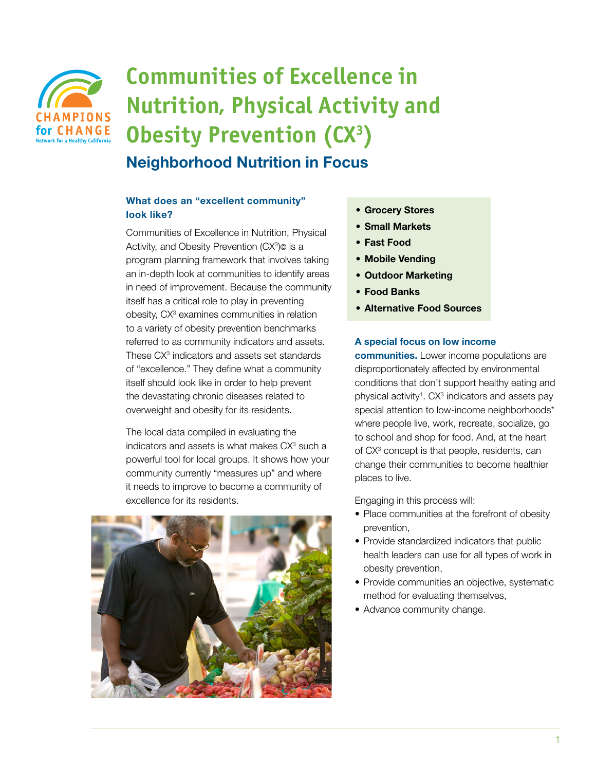

# **Communities of Excellence in Nutrition, Physical Activity and Obesity Prevention (CX<sup>3</sup>)** Neighborhood Nutrition in Focus

# What does an "excellent community" look like?

Communities of Excellence in Nutrition, Physical Activity, and Obesity Prevention (CX<sup>3</sup>)© is a program planning framework that involves taking an in-depth look at communities to identify areas in need of improvement. Because the community itself has a critical role to play in preventing obesity, CX<sup>3</sup> examines communities in relation to a variety of obesity prevention benchmarks referred to as community indicators and assets. These CX<sup>3</sup> indicators and assets set standards of "excellence." They define what a community itself should look like in order to help prevent the devastating chronic diseases related to overweight and obesity for its residents.

The local data compiled in evaluating the indicators and assets is what makes  $CX<sup>3</sup>$  such a powerful tool for local groups. It shows how your community currently "measures up" and where it needs to improve to become a community of excellence for its residents.



- Grocery Stores
- • Small Markets
- • Fast Food
- • Mobile Vending
- • Outdoor Marketing
- • Food Banks
- • Alternative Food Sources

### A special focus on low income

communities. Lower income populations are disproportionately affected by environmental conditions that don't support healthy eating and physical activity<sup>1</sup>. CX<sup>3</sup> indicators and assets pay special attention to low-income neighborhoods\* where people live, work, recreate, socialize, go to school and shop for food. And, at the heart of CX<sup>3</sup> concept is that people, residents, can change their communities to become healthier places to live.

Engaging in this process will:

- Place communities at the forefront of obesity prevention,
- Provide standardized indicators that public health leaders can use for all types of work in obesity prevention,
- Provide communities an objective, systematic method for evaluating themselves,
- Advance community change.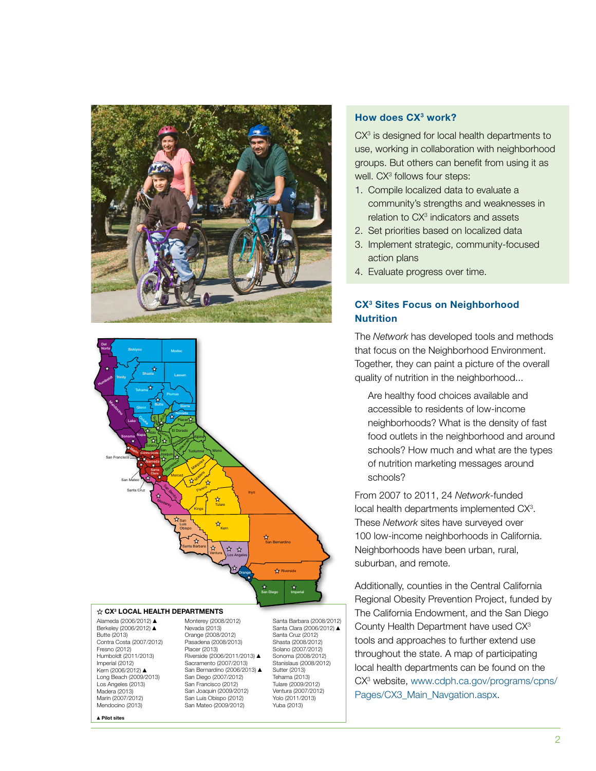



#### CX3 LOCAL HEALTH DEPARTMENTS

Alameda (2006/2012) ▲ Berkeley (2006/2012) ▲ Butte (2013) Contra Costa (2007/2012) Fresno (2012) Humboldt (2011/2013) Imperial (2012) Kern (2006/2012) ▲ Long Beach (2009/2013) Los Angeles (2013) Madera (2013) Marin (2007/2012) Mendocino (2013)

▲Pilot sites

Monterey (2008/2012) Nevada (2013) Orange (2008/2012) Pasadena (2008/2013) Placer (2013) Riverside (2006/2011/2013) ▲ Sacramento (2007/2013) San Bernardino (2006/2013) ▲ San Diego (2007/2012) San Francisco (2012) San Joaquin (2009/2012) San Luis Obispo (2012) San Mateo (2009/2012)

Santa Barbara (2008/2012) Santa Clara (2006/2012) ▲ Santa Cruz (2012) Shasta (2008/2012) Solano (2007/2012) Sonoma (2008/2012) Stanislaus (2008/2012) Sutter (2013) Tehama (2013) Tulare (2009/2012) Ventura (2007/2012) Yolo (2011/2013) Yuba (2013)

#### How does CX<sup>3</sup> work?

 $CX<sup>3</sup>$  is designed for local health departments to use, working in collaboration with neighborhood groups. But others can benefit from using it as well. CX<sup>3</sup> follows four steps:

- 1. Compile localized data to evaluate a community's strengths and weaknesses in relation to CX<sup>3</sup> indicators and assets
- 2. Set priorities based on localized data
- 3. Implement strategic, community-focused action plans
- 4. Evaluate progress over time.

## CX<sup>3</sup> Sites Focus on Neighborhood **Nutrition**

The *Network* has developed tools and methods that focus on the Neighborhood Environment. Together, they can paint a picture of the overall quality of nutrition in the neighborhood...

Are healthy food choices available and accessible to residents of low-income neighborhoods? What is the density of fast food outlets in the neighborhood and around schools? How much and what are the types of nutrition marketing messages around schools?

From 2007 to 2011, 24 *Network*-funded local health departments implemented CX<sup>3</sup>. These *Network* sites have surveyed over 100 low-income neighborhoods in California. Neighborhoods have been urban, rural, suburban, and remote.

Additionally, counties in the Central California Regional Obesity Prevention Project, funded by The California Endowment, and the San Diego County Health Department have used CX3 tools and approaches to further extend use throughout the state. A map of participating local health departments can be found on the CX3 website, [www.cdph.ca.gov/programs/cpns/](http://www.cdph.ca.gov/programs/cpns/Pages/CX3_Main_Navgation.aspx) [Pages/CX3\\_Main\\_Navgation.aspx.](http://www.cdph.ca.gov/programs/cpns/Pages/CX3_Main_Navgation.aspx)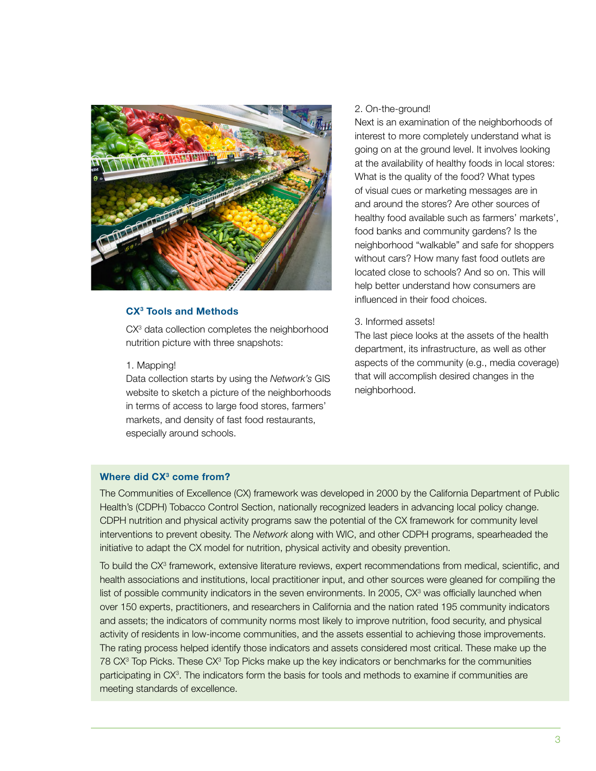

#### CX3 Tools and Methods

CX<sup>3</sup> data collection completes the neighborhood nutrition picture with three snapshots:

#### 1. Mapping!

Data collection starts by using the *Network's* GIS website to sketch a picture of the neighborhoods in terms of access to large food stores, farmers' markets, and density of fast food restaurants, especially around schools.

#### 2. On-the-ground!

Next is an examination of the neighborhoods of interest to more completely understand what is going on at the ground level. It involves looking at the availability of healthy foods in local stores: What is the quality of the food? What types of visual cues or marketing messages are in and around the stores? Are other sources of healthy food available such as farmers' markets', food banks and community gardens? Is the neighborhood "walkable" and safe for shoppers without cars? How many fast food outlets are located close to schools? And so on. This will help better understand how consumers are influenced in their food choices.

#### 3. Informed assets!

The last piece looks at the assets of the health department, its infrastructure, as well as other aspects of the community (e.g., media coverage) that will accomplish desired changes in the neighborhood.

# Where did CX<sup>3</sup> come from?

The Communities of Excellence (CX) framework was developed in 2000 by the California Department of Public Health's (CDPH) Tobacco Control Section, nationally recognized leaders in advancing local policy change. CDPH nutrition and physical activity programs saw the potential of the CX framework for community level interventions to prevent obesity. The *Network* along with WIC, and other CDPH programs, spearheaded the initiative to adapt the CX model for nutrition, physical activity and obesity prevention.

To build the CX<sup>3</sup> framework, extensive literature reviews, expert recommendations from medical, scientific, and health associations and institutions, local practitioner input, and other sources were gleaned for compiling the list of possible community indicators in the seven environments. In 2005, CX<sup>3</sup> was officially launched when over 150 experts, practitioners, and researchers in California and the nation rated 195 community indicators and assets; the indicators of community norms most likely to improve nutrition, food security, and physical activity of residents in low-income communities, and the assets essential to achieving those improvements. The rating process helped identify those indicators and assets considered most critical. These make up the 78 CX<sup>3</sup> Top Picks. These CX<sup>3</sup> Top Picks make up the key indicators or benchmarks for the communities participating in CX<sup>3</sup>. The indicators form the basis for tools and methods to examine if communities are meeting standards of excellence.